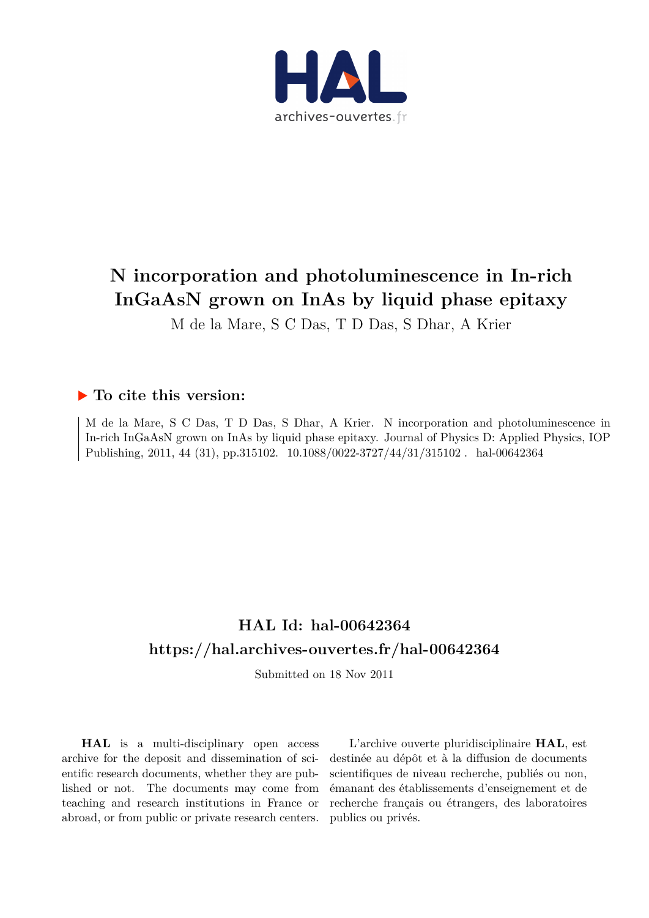

# **N incorporation and photoluminescence in In-rich InGaAsN grown on InAs by liquid phase epitaxy**

M de la Mare, S C Das, T D Das, S Dhar, A Krier

### **To cite this version:**

M de la Mare, S C Das, T D Das, S Dhar, A Krier. N incorporation and photoluminescence in In-rich InGaAsN grown on InAs by liquid phase epitaxy. Journal of Physics D: Applied Physics, IOP Publishing, 2011, 44 (31), pp.315102. 10.1088/0022-3727/44/31/315102. hal-00642364

## **HAL Id: hal-00642364 <https://hal.archives-ouvertes.fr/hal-00642364>**

Submitted on 18 Nov 2011

**HAL** is a multi-disciplinary open access archive for the deposit and dissemination of scientific research documents, whether they are published or not. The documents may come from teaching and research institutions in France or abroad, or from public or private research centers.

L'archive ouverte pluridisciplinaire **HAL**, est destinée au dépôt et à la diffusion de documents scientifiques de niveau recherche, publiés ou non, émanant des établissements d'enseignement et de recherche français ou étrangers, des laboratoires publics ou privés.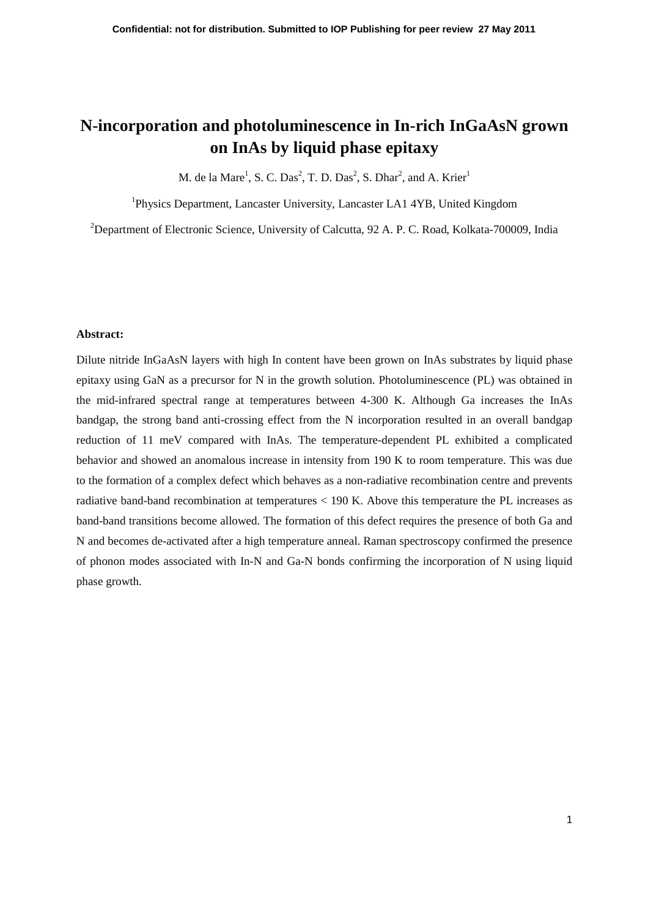### **N-incorporation and photoluminescence in In-rich InGaAsN grown on InAs by liquid phase epitaxy**

M. de la Mare<sup>1</sup>, S. C. Das<sup>2</sup>, T. D. Das<sup>2</sup>, S. Dhar<sup>2</sup>, and A. Krier<sup>1</sup>

<sup>1</sup>Physics Department, Lancaster University, Lancaster LA1 4YB, United Kingdom

<sup>2</sup>Department of Electronic Science, University of Calcutta, 92 A. P. C. Road, Kolkata-700009, India

#### **Abstract:**

Dilute nitride InGaAsN layers with high In content have been grown on InAs substrates by liquid phase epitaxy using GaN as a precursor for N in the growth solution. Photoluminescence (PL) was obtained in the mid-infrared spectral range at temperatures between 4-300 K. Although Ga increases the InAs bandgap, the strong band anti-crossing effect from the N incorporation resulted in an overall bandgap reduction of 11 meV compared with InAs. The temperature-dependent PL exhibited a complicated behavior and showed an anomalous increase in intensity from 190 K to room temperature. This was due to the formation of a complex defect which behaves as a non-radiative recombination centre and prevents radiative band-band recombination at temperatures < 190 K. Above this temperature the PL increases as band-band transitions become allowed. The formation of this defect requires the presence of both Ga and N and becomes de-activated after a high temperature anneal. Raman spectroscopy confirmed the presence of phonon modes associated with In-N and Ga-N bonds confirming the incorporation of N using liquid phase growth.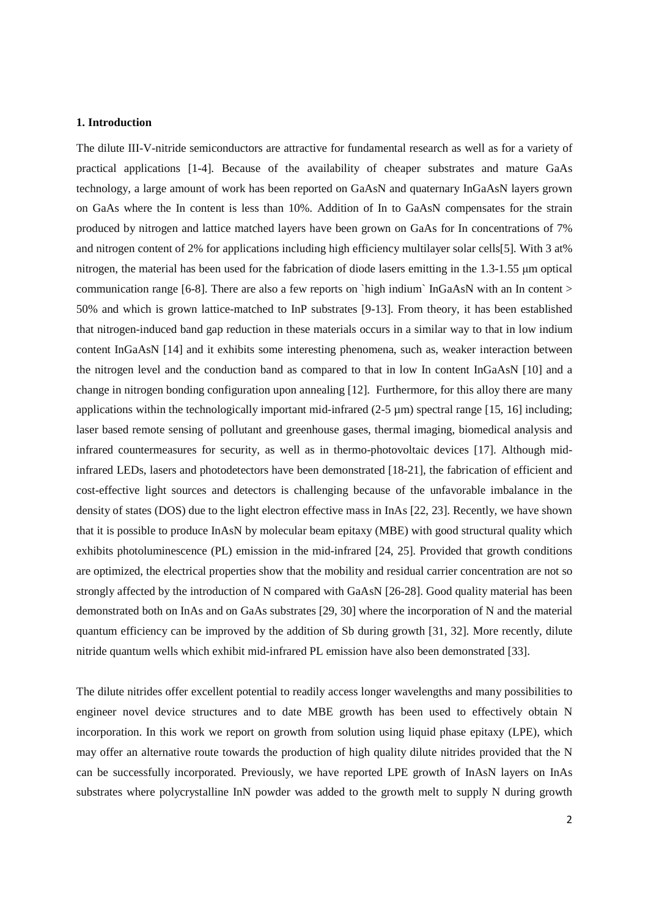#### **1. Introduction**

The dilute III-V-nitride semiconductors are attractive for fundamental research as well as for a variety of practical applications [1-4]. Because of the availability of cheaper substrates and mature GaAs technology, a large amount of work has been reported on GaAsN and quaternary InGaAsN layers grown on GaAs where the In content is less than 10%. Addition of In to GaAsN compensates for the strain produced by nitrogen and lattice matched layers have been grown on GaAs for In concentrations of 7% and nitrogen content of 2% for applications including high efficiency multilayer solar cells[5]. With 3 at% nitrogen, the material has been used for the fabrication of diode lasers emitting in the 1.3-1.55 µm optical communication range [6-8]. There are also a few reports on `high indium` InGaAsN with an In content > 50% and which is grown lattice-matched to InP substrates [9-13]. From theory, it has been established that nitrogen-induced band gap reduction in these materials occurs in a similar way to that in low indium content InGaAsN [14] and it exhibits some interesting phenomena, such as, weaker interaction between the nitrogen level and the conduction band as compared to that in low In content InGaAsN [10] and a change in nitrogen bonding configuration upon annealing [12]. Furthermore, for this alloy there are many applications within the technologically important mid-infrared  $(2-5 \mu m)$  spectral range [15, 16] including; laser based remote sensing of pollutant and greenhouse gases, thermal imaging, biomedical analysis and infrared countermeasures for security, as well as in thermo-photovoltaic devices [17]. Although midinfrared LEDs, lasers and photodetectors have been demonstrated [18-21], the fabrication of efficient and cost-effective light sources and detectors is challenging because of the unfavorable imbalance in the density of states (DOS) due to the light electron effective mass in InAs [22, 23]. Recently, we have shown that it is possible to produce InAsN by molecular beam epitaxy (MBE) with good structural quality which exhibits photoluminescence (PL) emission in the mid-infrared [24, 25]. Provided that growth conditions are optimized, the electrical properties show that the mobility and residual carrier concentration are not so strongly affected by the introduction of N compared with GaAsN [26-28]. Good quality material has been demonstrated both on InAs and on GaAs substrates [29, 30] where the incorporation of N and the material quantum efficiency can be improved by the addition of Sb during growth [31, 32]. More recently, dilute nitride quantum wells which exhibit mid-infrared PL emission have also been demonstrated [33].

The dilute nitrides offer excellent potential to readily access longer wavelengths and many possibilities to engineer novel device structures and to date MBE growth has been used to effectively obtain N incorporation. In this work we report on growth from solution using liquid phase epitaxy (LPE), which may offer an alternative route towards the production of high quality dilute nitrides provided that the N can be successfully incorporated. Previously, we have reported LPE growth of InAsN layers on InAs substrates where polycrystalline InN powder was added to the growth melt to supply N during growth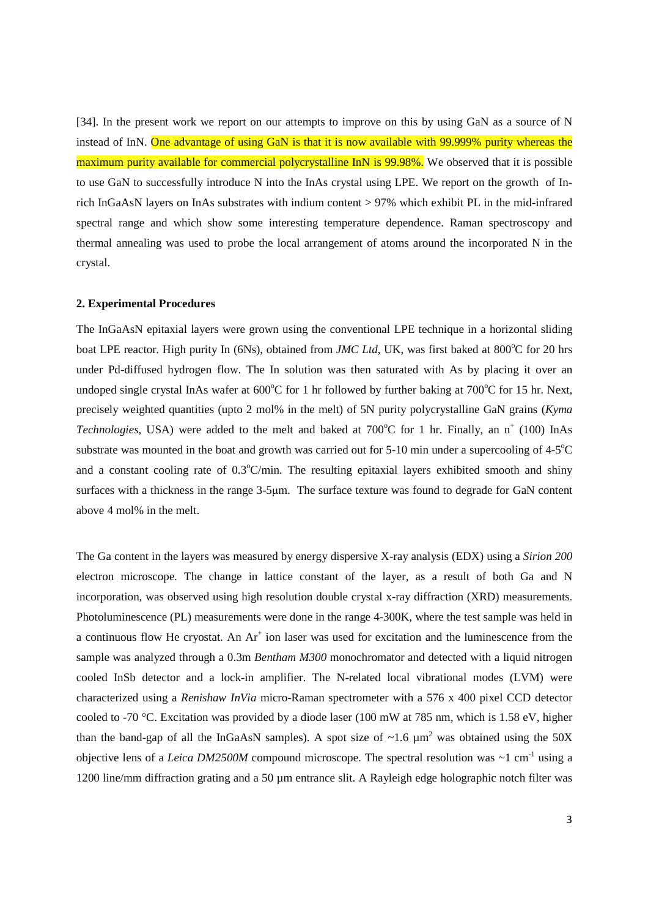[34]. In the present work we report on our attempts to improve on this by using GaN as a source of N instead of InN. One advantage of using GaN is that it is now available with 99.999% purity whereas the maximum purity available for commercial polycrystalline InN is 99.98%. We observed that it is possible to use GaN to successfully introduce N into the InAs crystal using LPE. We report on the growth of Inrich InGaAsN layers on InAs substrates with indium content > 97% which exhibit PL in the mid-infrared spectral range and which show some interesting temperature dependence. Raman spectroscopy and thermal annealing was used to probe the local arrangement of atoms around the incorporated N in the crystal.

#### **2. Experimental Procedures**

The InGaAsN epitaxial layers were grown using the conventional LPE technique in a horizontal sliding boat LPE reactor. High purity In (6Ns), obtained from *JMC Ltd*, UK, was first baked at 800°C for 20 hrs under Pd-diffused hydrogen flow. The In solution was then saturated with As by placing it over an undoped single crystal InAs wafer at 600°C for 1 hr followed by further baking at 700°C for 15 hr. Next, precisely weighted quantities (upto 2 mol% in the melt) of 5N purity polycrystalline GaN grains (*Kyma* Technologies, USA) were added to the melt and baked at 700°C for 1 hr. Finally, an n<sup>+</sup> (100) InAs substrate was mounted in the boat and growth was carried out for  $5\n-10$  min under a supercooling of  $4\n-5$ <sup>o</sup>C and a constant cooling rate of 0.3°C/min. The resulting epitaxial layers exhibited smooth and shiny surfaces with a thickness in the range 3-5µm. The surface texture was found to degrade for GaN content above 4 mol% in the melt.

The Ga content in the layers was measured by energy dispersive X-ray analysis (EDX) using a *Sirion 200* electron microscope. The change in lattice constant of the layer, as a result of both Ga and N incorporation, was observed using high resolution double crystal x-ray diffraction (XRD) measurements. Photoluminescence (PL) measurements were done in the range 4-300K, where the test sample was held in a continuous flow He cryostat. An Ar<sup>+</sup> ion laser was used for excitation and the luminescence from the sample was analyzed through a 0.3m *Bentham M300* monochromator and detected with a liquid nitrogen cooled InSb detector and a lock-in amplifier. The N-related local vibrational modes (LVM) were characterized using a *Renishaw InVia* micro-Raman spectrometer with a 576 x 400 pixel CCD detector cooled to -70 °C. Excitation was provided by a diode laser (100 mW at 785 nm, which is 1.58 eV, higher than the band-gap of all the InGaAsN samples). A spot size of  $\sim$ 1.6  $\mu$ m<sup>2</sup> was obtained using the 50X objective lens of a *Leica DM2500M* compound microscope. The spectral resolution was  $\sim$ 1 cm<sup>-1</sup> using a 1200 line/mm diffraction grating and a 50 µm entrance slit. A Rayleigh edge holographic notch filter was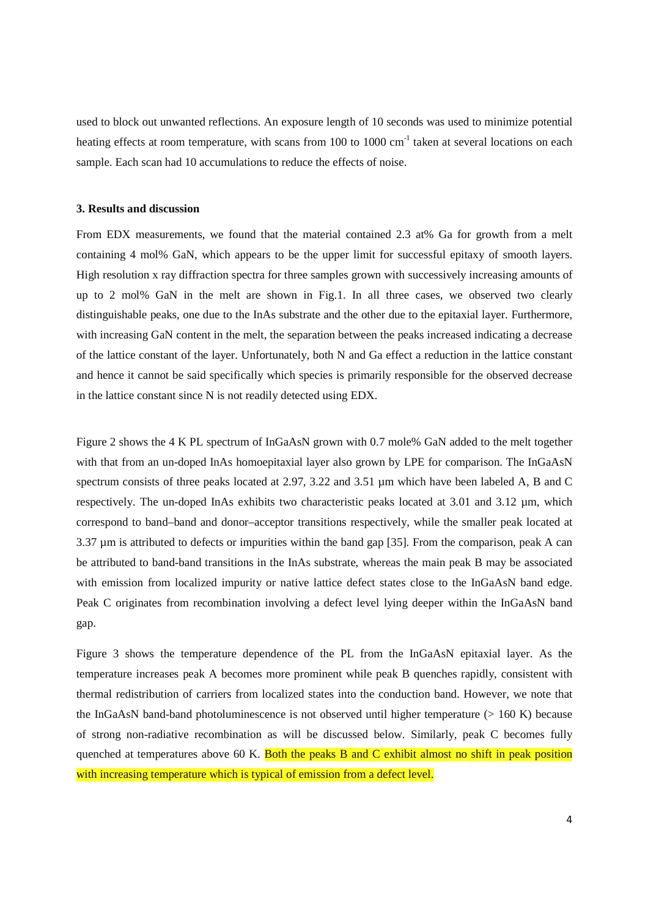used to block out unwanted reflections. An exposure length of 10 seconds was used to minimize potential heating effects at room temperature, with scans from 100 to 1000 cm<sup>-1</sup> taken at several locations on each sample. Each scan had 10 accumulations to reduce the effects of noise.

#### **3. Results and discussion**

From EDX measurements, we found that the material contained 2.3 at% Ga for growth from a melt containing 4 mol% GaN, which appears to be the upper limit for successful epitaxy of smooth layers. High resolution x ray diffraction spectra for three samples grown with successively increasing amounts of up to 2 mol% GaN in the melt are shown in Fig.1. In all three cases, we observed two clearly distinguishable peaks, one due to the InAs substrate and the other due to the epitaxial layer. Furthermore, with increasing GaN content in the melt, the separation between the peaks increased indicating a decrease of the lattice constant of the layer. Unfortunately, both N and Ga effect a reduction in the lattice constant and hence it cannot be said specifically which species is primarily responsible for the observed decrease in the lattice constant since N is not readily detected using EDX.

Figure 2 shows the 4 K PL spectrum of InGaAsN grown with 0.7 mole% GaN added to the melt together with that from an un-doped InAs homoepitaxial layer also grown by LPE for comparison. The InGaAsN spectrum consists of three peaks located at 2.97, 3.22 and 3.51  $\mu$ m which have been labeled A, B and C respectively. The un-doped InAs exhibits two characteristic peaks located at 3.01 and 3.12 µm, which correspond to band–band and donor–acceptor transitions respectively, while the smaller peak located at 3.37 µm is attributed to defects or impurities within the band gap [35]. From the comparison, peak A can be attributed to band-band transitions in the InAs substrate, whereas the main peak B may be associated with emission from localized impurity or native lattice defect states close to the InGaAsN band edge. Peak C originates from recombination involving a defect level lying deeper within the InGaAsN band gap.

Figure 3 shows the temperature dependence of the PL from the InGaAsN epitaxial layer. As the temperature increases peak A becomes more prominent while peak B quenches rapidly, consistent with thermal redistribution of carriers from localized states into the conduction band. However, we note that the InGaAsN band-band photoluminescence is not observed until higher temperature  $(> 160 K)$  because of strong non-radiative recombination as will be discussed below. Similarly, peak C becomes fully quenched at temperatures above 60 K. Both the peaks B and C exhibit almost no shift in peak position with increasing temperature which is typical of emission from a defect level.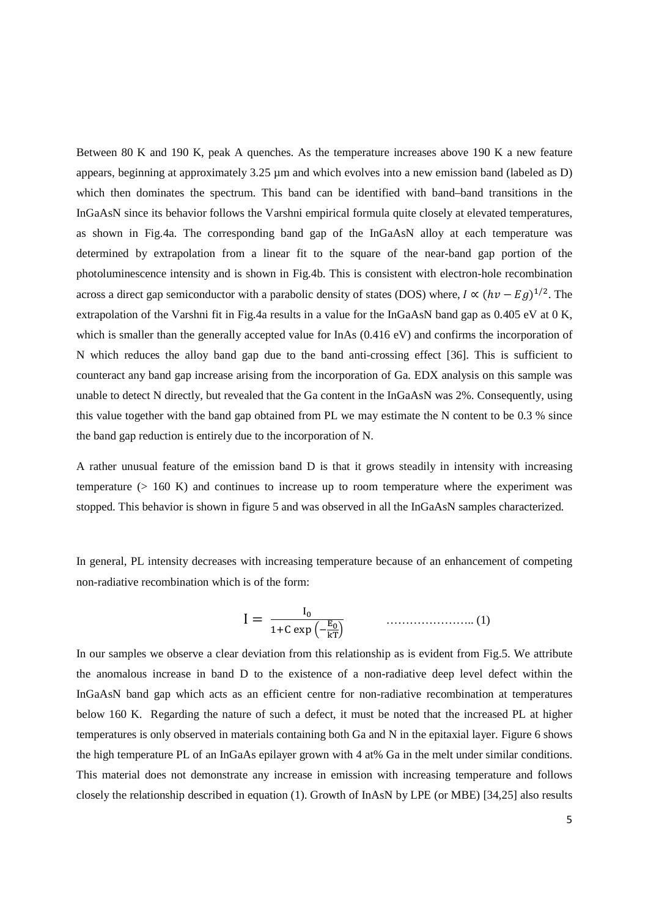Between 80 K and 190 K, peak A quenches. As the temperature increases above 190 K a new feature appears, beginning at approximately 3.25 µm and which evolves into a new emission band (labeled as D) which then dominates the spectrum. This band can be identified with band–band transitions in the InGaAsN since its behavior follows the Varshni empirical formula quite closely at elevated temperatures, as shown in Fig.4a. The corresponding band gap of the InGaAsN alloy at each temperature was determined by extrapolation from a linear fit to the square of the near-band gap portion of the photoluminescence intensity and is shown in Fig.4b. This is consistent with electron-hole recombination across a direct gap semiconductor with a parabolic density of states (DOS) where,  $I \propto (hv - Eg)^{1/2}$ . The extrapolation of the Varshni fit in Fig.4a results in a value for the InGaAsN band gap as 0.405 eV at 0 K, which is smaller than the generally accepted value for InAs (0.416 eV) and confirms the incorporation of N which reduces the alloy band gap due to the band anti-crossing effect [36]. This is sufficient to counteract any band gap increase arising from the incorporation of Ga. EDX analysis on this sample was unable to detect N directly, but revealed that the Ga content in the InGaAsN was 2%. Consequently, using this value together with the band gap obtained from PL we may estimate the N content to be 0.3 % since the band gap reduction is entirely due to the incorporation of N.

A rather unusual feature of the emission band D is that it grows steadily in intensity with increasing temperature  $(> 160 \text{ K})$  and continues to increase up to room temperature where the experiment was stopped. This behavior is shown in figure 5 and was observed in all the InGaAsN samples characterized.

In general, PL intensity decreases with increasing temperature because of an enhancement of competing non-radiative recombination which is of the form:

 ………………….. (1)

In our samples we observe a clear deviation from this relationship as is evident from Fig.5. We attribute the anomalous increase in band D to the existence of a non-radiative deep level defect within the InGaAsN band gap which acts as an efficient centre for non-radiative recombination at temperatures below 160 K. Regarding the nature of such a defect, it must be noted that the increased PL at higher temperatures is only observed in materials containing both Ga and N in the epitaxial layer. Figure 6 shows the high temperature PL of an InGaAs epilayer grown with 4 at% Ga in the melt under similar conditions. This material does not demonstrate any increase in emission with increasing temperature and follows closely the relationship described in equation (1). Growth of InAsN by LPE (or MBE) [34,25] also results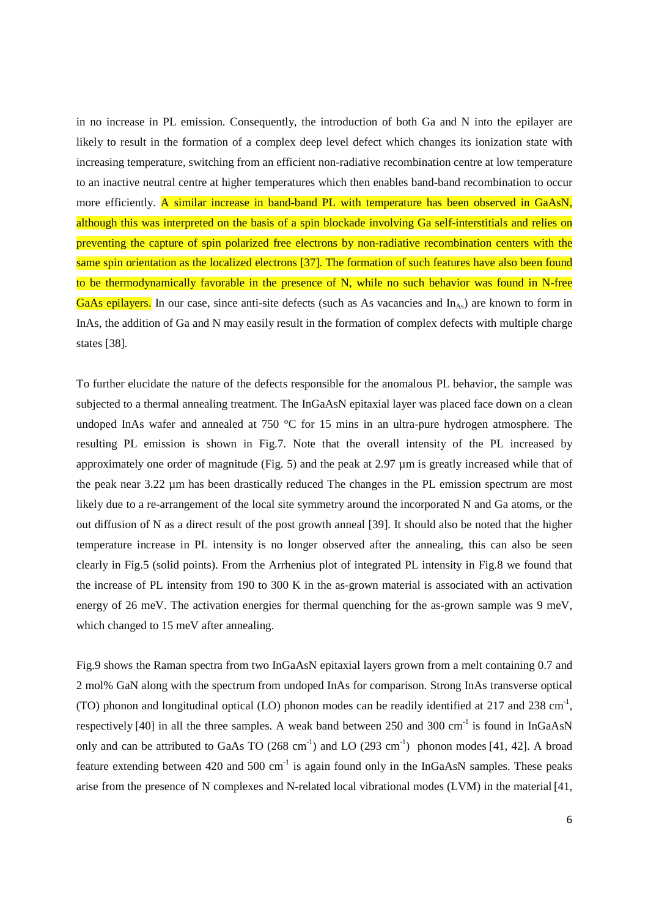in no increase in PL emission. Consequently, the introduction of both Ga and N into the epilayer are likely to result in the formation of a complex deep level defect which changes its ionization state with increasing temperature, switching from an efficient non-radiative recombination centre at low temperature to an inactive neutral centre at higher temperatures which then enables band-band recombination to occur more efficiently. A similar increase in band-band PL with temperature has been observed in GaAsN, although this was interpreted on the basis of a spin blockade involving Ga self-interstitials and relies on preventing the capture of spin polarized free electrons by non-radiative recombination centers with the same spin orientation as the localized electrons [37]. The formation of such features have also been found to be thermodynamically favorable in the presence of N, while no such behavior was found in N-free GaAs epilayers. In our case, since anti-site defects (such as As vacancies and  $In<sub>As</sub>$ ) are known to form in InAs, the addition of Ga and N may easily result in the formation of complex defects with multiple charge states [38].

To further elucidate the nature of the defects responsible for the anomalous PL behavior, the sample was subjected to a thermal annealing treatment. The InGaAsN epitaxial layer was placed face down on a clean undoped InAs wafer and annealed at 750 °C for 15 mins in an ultra-pure hydrogen atmosphere. The resulting PL emission is shown in Fig.7. Note that the overall intensity of the PL increased by approximately one order of magnitude (Fig. 5) and the peak at 2.97 µm is greatly increased while that of the peak near 3.22 µm has been drastically reduced The changes in the PL emission spectrum are most likely due to a re-arrangement of the local site symmetry around the incorporated N and Ga atoms, or the out diffusion of N as a direct result of the post growth anneal [39]. It should also be noted that the higher temperature increase in PL intensity is no longer observed after the annealing, this can also be seen clearly in Fig.5 (solid points). From the Arrhenius plot of integrated PL intensity in Fig.8 we found that the increase of PL intensity from 190 to 300 K in the as-grown material is associated with an activation energy of 26 meV. The activation energies for thermal quenching for the as-grown sample was 9 meV, which changed to 15 meV after annealing.

Fig.9 shows the Raman spectra from two InGaAsN epitaxial layers grown from a melt containing 0.7 and 2 mol% GaN along with the spectrum from undoped InAs for comparison. Strong InAs transverse optical (TO) phonon and longitudinal optical (LO) phonon modes can be readily identified at 217 and 238 cm<sup>-1</sup>, respectively [40] in all the three samples. A weak band between 250 and 300 cm<sup>-1</sup> is found in InGaAsN only and can be attributed to GaAs TO  $(268 \text{ cm}^{-1})$  and LO  $(293 \text{ cm}^{-1})$  phonon modes [41, 42]. A broad feature extending between 420 and 500  $cm^{-1}$  is again found only in the InGaAsN samples. These peaks arise from the presence of N complexes and N-related local vibrational modes (LVM) in the material [41,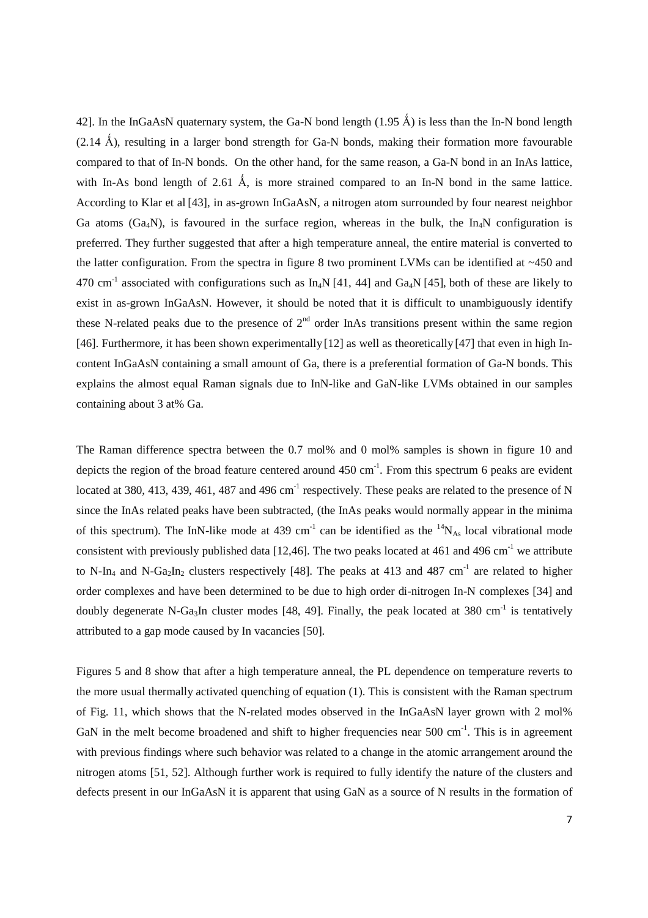42]. In the InGaAsN quaternary system, the Ga-N bond length  $(1.95 \text{ Å})$  is less than the In-N bond length  $(2.14 \text{ Å})$ , resulting in a larger bond strength for Ga-N bonds, making their formation more favourable compared to that of In-N bonds. On the other hand, for the same reason, a Ga-N bond in an InAs lattice, with In-As bond length of 2.61 Å, is more strained compared to an In-N bond in the same lattice. According to Klar et al [43], in as-grown InGaAsN, a nitrogen atom surrounded by four nearest neighbor Ga atoms (Ga<sub>4</sub>N), is favoured in the surface region, whereas in the bulk, the In<sub>4</sub>N configuration is preferred. They further suggested that after a high temperature anneal, the entire material is converted to the latter configuration. From the spectra in figure 8 two prominent LVMs can be identified at ~450 and 470 cm<sup>-1</sup> associated with configurations such as In<sub>4</sub>N [41, 44] and Ga<sub>4</sub>N [45], both of these are likely to exist in as-grown InGaAsN. However, it should be noted that it is difficult to unambiguously identify these N-related peaks due to the presence of  $2<sup>nd</sup>$  order InAs transitions present within the same region [46]. Furthermore, it has been shown experimentally [12] as well as theoretically [47] that even in high Incontent InGaAsN containing a small amount of Ga, there is a preferential formation of Ga-N bonds. This explains the almost equal Raman signals due to InN-like and GaN-like LVMs obtained in our samples containing about 3 at% Ga.

The Raman difference spectra between the 0.7 mol% and 0 mol% samples is shown in figure 10 and depicts the region of the broad feature centered around  $450 \text{ cm}^{-1}$ . From this spectrum 6 peaks are evident located at 380, 413, 439, 461, 487 and 496 cm<sup>-1</sup> respectively. These peaks are related to the presence of N since the InAs related peaks have been subtracted, (the InAs peaks would normally appear in the minima of this spectrum). The InN-like mode at 439 cm<sup>-1</sup> can be identified as the  $^{14}N_{As}$  local vibrational mode consistent with previously published data [12,46]. The two peaks located at 461 and 496 cm<sup>-1</sup> we attribute to N-In<sub>4</sub> and N-Ga<sub>2</sub>In<sub>2</sub> clusters respectively [48]. The peaks at 413 and 487 cm<sup>-1</sup> are related to higher order complexes and have been determined to be due to high order di-nitrogen In-N complexes [34] and doubly degenerate N-Ga<sub>3</sub>In cluster modes [48, 49]. Finally, the peak located at 380 cm<sup>-1</sup> is tentatively attributed to a gap mode caused by In vacancies [50].

Figures 5 and 8 show that after a high temperature anneal, the PL dependence on temperature reverts to the more usual thermally activated quenching of equation (1). This is consistent with the Raman spectrum of Fig. 11, which shows that the N-related modes observed in the InGaAsN layer grown with 2 mol% GaN in the melt become broadened and shift to higher frequencies near  $500 \text{ cm}^{-1}$ . This is in agreement with previous findings where such behavior was related to a change in the atomic arrangement around the nitrogen atoms [51, 52]. Although further work is required to fully identify the nature of the clusters and defects present in our InGaAsN it is apparent that using GaN as a source of N results in the formation of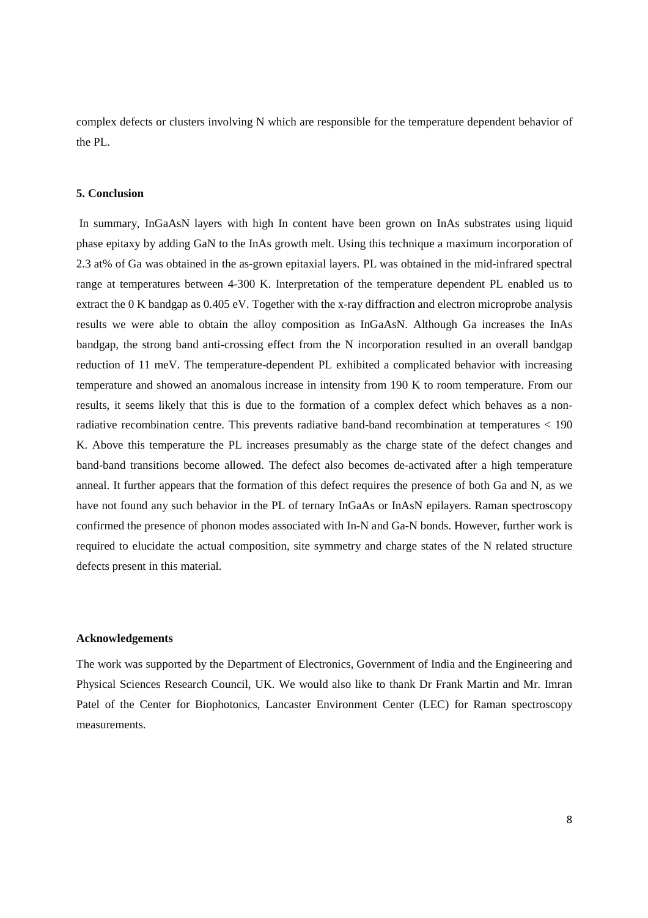complex defects or clusters involving N which are responsible for the temperature dependent behavior of the PL.

#### **5. Conclusion**

In summary, InGaAsN layers with high In content have been grown on InAs substrates using liquid phase epitaxy by adding GaN to the InAs growth melt. Using this technique a maximum incorporation of 2.3 at% of Ga was obtained in the as-grown epitaxial layers. PL was obtained in the mid-infrared spectral range at temperatures between 4-300 K. Interpretation of the temperature dependent PL enabled us to extract the 0 K bandgap as 0.405 eV. Together with the x-ray diffraction and electron microprobe analysis results we were able to obtain the alloy composition as InGaAsN. Although Ga increases the InAs bandgap, the strong band anti-crossing effect from the N incorporation resulted in an overall bandgap reduction of 11 meV. The temperature-dependent PL exhibited a complicated behavior with increasing temperature and showed an anomalous increase in intensity from 190 K to room temperature. From our results, it seems likely that this is due to the formation of a complex defect which behaves as a nonradiative recombination centre. This prevents radiative band-band recombination at temperatures < 190 K. Above this temperature the PL increases presumably as the charge state of the defect changes and band-band transitions become allowed. The defect also becomes de-activated after a high temperature anneal. It further appears that the formation of this defect requires the presence of both Ga and N, as we have not found any such behavior in the PL of ternary InGaAs or InAsN epilayers. Raman spectroscopy confirmed the presence of phonon modes associated with In-N and Ga-N bonds. However, further work is required to elucidate the actual composition, site symmetry and charge states of the N related structure defects present in this material.

#### **Acknowledgements**

The work was supported by the Department of Electronics, Government of India and the Engineering and Physical Sciences Research Council, UK. We would also like to thank Dr Frank Martin and Mr. Imran Patel of the Center for Biophotonics, Lancaster Environment Center (LEC) for Raman spectroscopy measurements.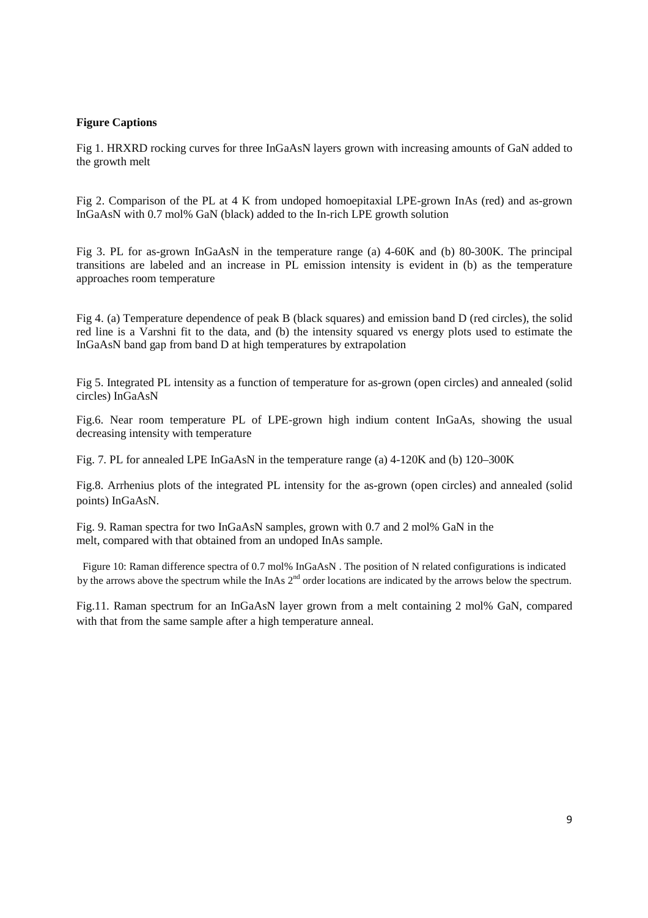#### **Figure Captions**

Fig 1. HRXRD rocking curves for three InGaAsN layers grown with increasing amounts of GaN added to the growth melt

Fig 2. Comparison of the PL at 4 K from undoped homoepitaxial LPE-grown InAs (red) and as-grown InGaAsN with 0.7 mol% GaN (black) added to the In-rich LPE growth solution

Fig 3. PL for as-grown InGaAsN in the temperature range (a) 4-60K and (b) 80-300K. The principal transitions are labeled and an increase in PL emission intensity is evident in (b) as the temperature approaches room temperature

Fig 4. (a) Temperature dependence of peak B (black squares) and emission band D (red circles), the solid red line is a Varshni fit to the data, and (b) the intensity squared vs energy plots used to estimate the InGaAsN band gap from band D at high temperatures by extrapolation

Fig 5. Integrated PL intensity as a function of temperature for as-grown (open circles) and annealed (solid circles) InGaAsN

Fig.6. Near room temperature PL of LPE-grown high indium content InGaAs, showing the usual decreasing intensity with temperature

Fig. 7. PL for annealed LPE InGaAsN in the temperature range (a) 4-120K and (b) 120–300K

Fig.8. Arrhenius plots of the integrated PL intensity for the as-grown (open circles) and annealed (solid points) InGaAsN.

Fig. 9. Raman spectra for two InGaAsN samples, grown with 0.7 and 2 mol% GaN in the melt, compared with that obtained from an undoped InAs sample.

Figure 10: Raman difference spectra of 0.7 mol% InGaAsN . The position of N related configurations is indicated by the arrows above the spectrum while the InAs 2<sup>nd</sup> order locations are indicated by the arrows below the spectrum.

Fig.11. Raman spectrum for an InGaAsN layer grown from a melt containing 2 mol% GaN, compared with that from the same sample after a high temperature anneal.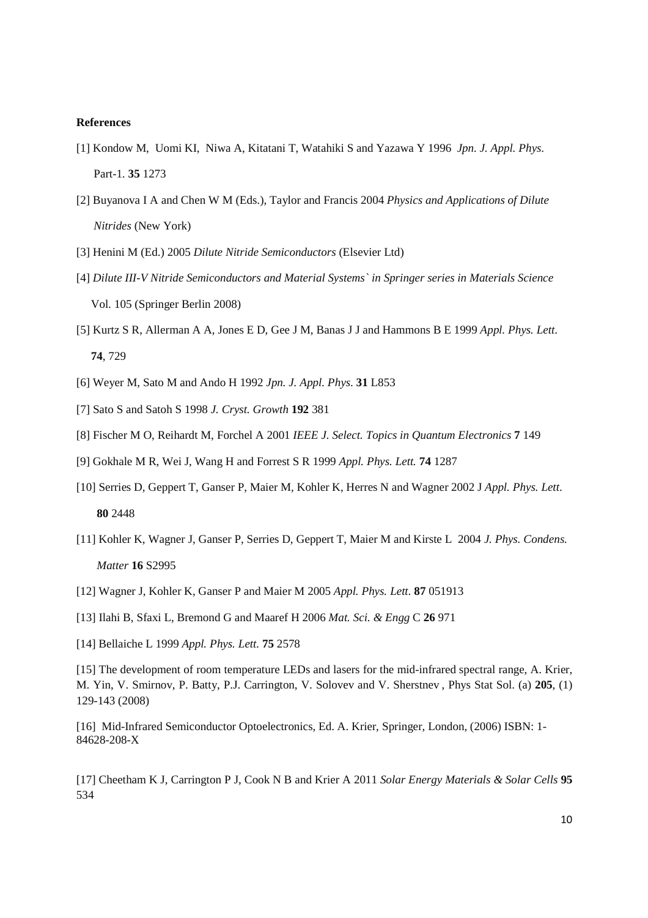#### **References**

- [1] Kondow M, Uomi KI, Niwa A, Kitatani T, Watahiki S and Yazawa Y 1996 *Jpn. J. Appl. Phys*. Part-1. **35** 1273
- [2] Buyanova I A and Chen W M (Eds.), Taylor and Francis 2004 *Physics and Applications of Dilute Nitrides* (New York)
- [3] Henini M (Ed.) 2005 *Dilute Nitride Semiconductors* (Elsevier Ltd)
- [4] *Dilute III-V Nitride Semiconductors and Material Systems` in Springer series in Materials Science* Vol. 105 (Springer Berlin 2008)
- [5] Kurtz S R, Allerman A A, Jones E D, Gee J M, Banas J J and Hammons B E 1999 *Appl. Phys. Lett*. **74**, 729
- [6] Weyer M, Sato M and Ando H 1992 *Jpn. J. Appl. Phys*. **31** L853
- [7] Sato S and Satoh S 1998 *J. Cryst. Growth* **192** 381
- [8] Fischer M O, Reihardt M, Forchel A 2001 *IEEE J. Select. Topics in Quantum Electronics* **7** 149
- [9] Gokhale M R, Wei J, Wang H and Forrest S R 1999 *Appl. Phys. Lett.* **74** 1287
- [10] Serries D, Geppert T, Ganser P, Maier M, Kohler K, Herres N and Wagner 2002 J *Appl. Phys. Lett*. **80** 2448
- [11] Kohler K, Wagner J, Ganser P, Serries D, Geppert T, Maier M and Kirste L 2004 *J. Phys. Condens. Matter* **16** S2995
- [12] Wagner J, Kohler K, Ganser P and Maier M 2005 *Appl. Phys. Lett*. **87** 051913
- [13] Ilahi B, Sfaxi L, Bremond G and Maaref H 2006 *Mat. Sci. & Engg* C **26** 971
- [14] Bellaiche L 1999 *Appl. Phys. Lett*. **75** 2578

[15] The development of room temperature LEDs and lasers for the mid-infrared spectral range, A. Krier, M. Yin, V. Smirnov, P. Batty, P.J. Carrington, V. Solovev and V. Sherstnev , Phys Stat Sol. (a) **205**, (1) 129-143 (2008)

[16] Mid-Infrared Semiconductor Optoelectronics, Ed. A. Krier, Springer, London, (2006) ISBN: 1- 84628-208-X

[17] Cheetham K J, Carrington P J, Cook N B and Krier A 2011 *Solar Energy Materials & Solar Cells* **95** 534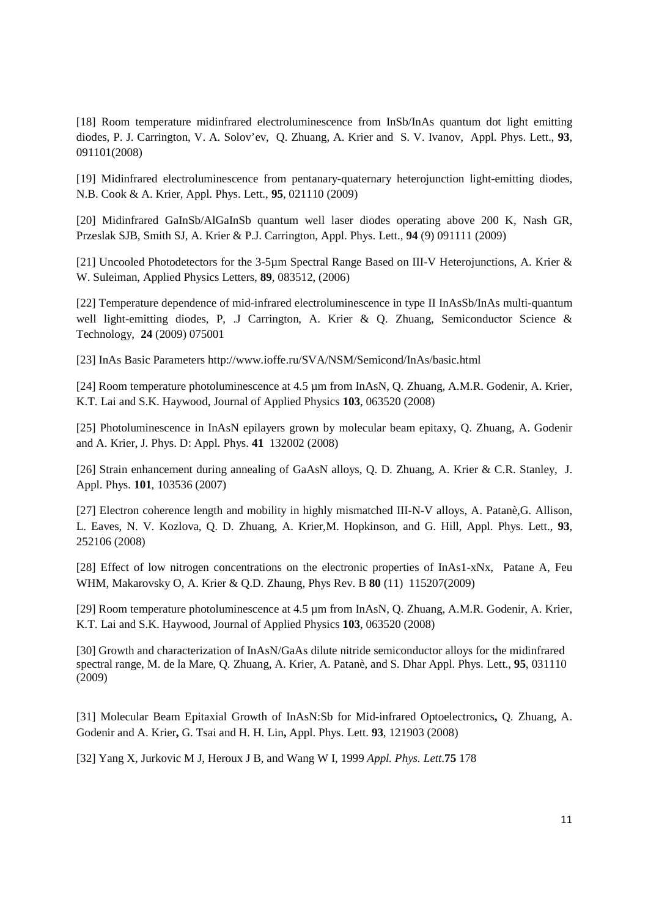[18] Room temperature midinfrared electroluminescence from InSb/InAs quantum dot light emitting diodes, P. J. Carrington, V. A. Solov'ev, Q. Zhuang, A. Krier and S. V. Ivanov, Appl. Phys. Lett., **93**, 091101(2008)

[19] Midinfrared electroluminescence from pentanary-quaternary heterojunction light-emitting diodes, N.B. Cook & A. Krier, Appl. Phys. Lett., **95**, 021110 (2009)

[20] Midinfrared GaInSb/AlGaInSb quantum well laser diodes operating above 200 K, Nash GR, Przeslak SJB, Smith SJ, A. Krier & P.J. Carrington, Appl. Phys. Lett., **94** (9) 091111 (2009)

[21] Uncooled Photodetectors for the 3-5µm Spectral Range Based on III-V Heterojunctions, A. Krier & W. Suleiman, Applied Physics Letters, **89**, 083512, (2006)

[22] Temperature dependence of mid-infrared electroluminescence in type II InAsSb/InAs multi-quantum well light-emitting diodes, P, .J Carrington, A. Krier & Q. Zhuang, Semiconductor Science & Technology, **24** (2009) 075001

[23] InAs Basic Parameters http://www.ioffe.ru/SVA/NSM/Semicond/InAs/basic.html

[24] Room temperature photoluminescence at 4.5 µm from InAsN, O. Zhuang, A.M.R. Godenir, A. Krier, K.T. Lai and S.K. Haywood, Journal of Applied Physics **103**, 063520 (2008)

[25] Photoluminescence in InAsN epilayers grown by molecular beam epitaxy, Q. Zhuang, A. Godenir and A. Krier, J. Phys. D: Appl. Phys. **41** 132002 (2008)

[26] Strain enhancement during annealing of GaAsN alloys, Q. D. Zhuang, A. Krier & C.R. Stanley, J. Appl. Phys. **101**, 103536 (2007)

[27] Electron coherence length and mobility in highly mismatched III-N-V alloys, A. Patanè, G. Allison, L. Eaves, N. V. Kozlova, Q. D. Zhuang, A. Krier,M. Hopkinson, and G. Hill, Appl. Phys. Lett., **93**, 252106 (2008)

[28] Effect of low nitrogen concentrations on the electronic properties of InAs1-xNx, Patane A, Feu WHM, Makarovsky O, A. Krier & Q.D. Zhaung, Phys Rev. B **80** (11) 115207(2009)

[29] Room temperature photoluminescence at 4.5 µm from InAsN, Q. Zhuang, A.M.R. Godenir, A. Krier, K.T. Lai and S.K. Haywood, Journal of Applied Physics **103**, 063520 (2008)

[30] Growth and characterization of InAsN/GaAs dilute nitride semiconductor alloys for the midinfrared spectral range, M. de la Mare, Q. Zhuang, A. Krier, A. Patanè, and S. Dhar Appl. Phys. Lett., **95**, 031110 (2009)

[31] Molecular Beam Epitaxial Growth of InAsN:Sb for Mid-infrared Optoelectronics**,** Q. Zhuang, A. Godenir and A. Krier**,** G. Tsai and H. H. Lin**,** Appl. Phys. Lett. **93**, 121903 (2008)

[32] Yang X, Jurkovic M J, Heroux J B, and Wang W I, 1999 *Appl. Phys. Lett*.**75** 178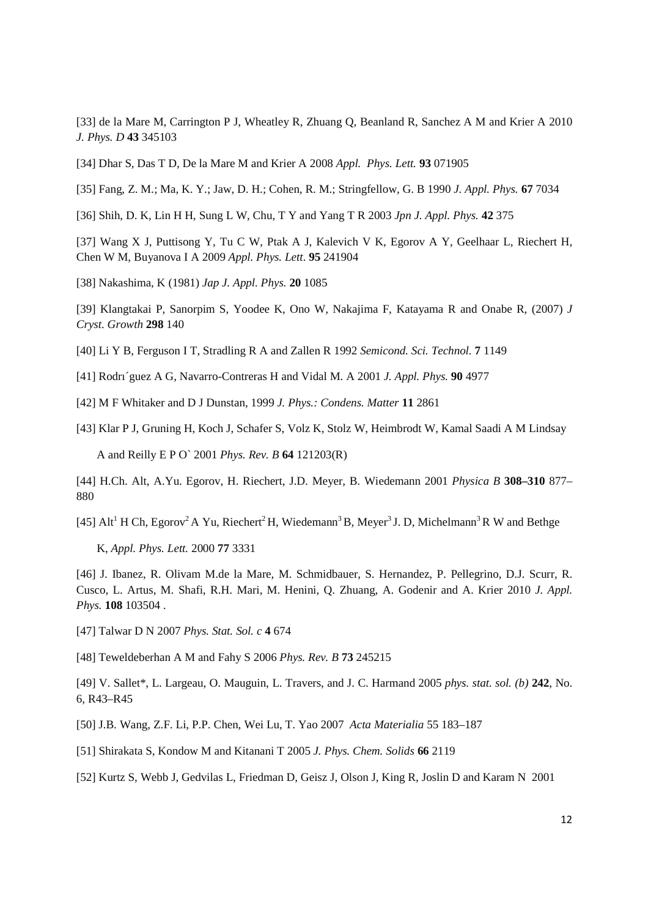[33] de la Mare M, Carrington P J, Wheatley R, Zhuang Q, Beanland R, Sanchez A M and Krier A 2010 *J. Phys. D* **43** 345103

[34] Dhar S, Das T D, De la Mare M and Krier A 2008 *Appl. Phys. Lett.* **93** 071905

[35] Fang, Z. M.; Ma, K. Y.; Jaw, D. H.; Cohen, R. M.; Stringfellow, G. B 1990 *J. Appl. Phys.* **67** 7034

[36] Shih, D. K, Lin H H, Sung L W, Chu, T Y and Yang T R 2003 *Jpn J. Appl. Phys.* **42** 375

[37] Wang X J, Puttisong Y, Tu C W, Ptak A J, Kalevich V K, Egorov A Y, Geelhaar L, Riechert H, Chen W M, Buyanova I A 2009 *Appl. Phys. Lett*. **95** 241904

[38] Nakashima, K (1981) *Jap J. Appl. Phys.* **20** 1085

[39] Klangtakai P, Sanorpim S, Yoodee K, Ono W, Nakajima F, Katayama R and Onabe R, (2007) *J Cryst. Growth* **298** 140

[40] Li Y B, Ferguson I T, Stradling R A and Zallen R 1992 *Semicond. Sci. Technol.* **7** 1149

[41] Rodrı´guez A G, Navarro-Contreras H and Vidal M. A 2001 *J. Appl. Phys.* **90** 4977

[42] M F Whitaker and D J Dunstan, 1999 *J. Phys.: Condens. Matter* **11** 2861

[43] Klar P J, Gruning H, Koch J, Schafer S, Volz K, Stolz W, Heimbrodt W, Kamal Saadi A M Lindsay A and Reilly E P O` 2001 *Phys. Rev. B* **64** 121203(R)

[44] H.Ch. Alt, A.Yu. Egorov, H. Riechert, J.D. Meyer, B. Wiedemann 2001 *Physica B* **308–310** 877– 880

[45] Alt<sup>1</sup> H Ch, Egorov<sup>2</sup> A Yu, Riechert<sup>2</sup> H, Wiedemann<sup>3</sup> B, Meyer<sup>3</sup> J. D, Michelmann<sup>3</sup> R W and Bethge

K, *Appl. Phys. Lett.* 2000 **77** 3331

[46] J. Ibanez, R. Olivam M.de la Mare, M. Schmidbauer, S. Hernandez, P. Pellegrino, D.J. Scurr, R. Cusco, L. Artus, M. Shafi, R.H. Mari, M. Henini, Q. Zhuang, A. Godenir and A. Krier 2010 *J. Appl. Phys.* **108** 103504 .

[47] Talwar D N 2007 *Phys. Stat. Sol. c* **4** 674

[48] Teweldeberhan A M and Fahy S 2006 *Phys. Rev. B* **73** 245215

[49] V. Sallet\*, L. Largeau, O. Mauguin, L. Travers, and J. C. Harmand 2005 *phys. stat. sol. (b)* **242**, No. 6, R43–R45

[50] J.B. Wang, Z.F. Li, P.P. Chen, Wei Lu, T. Yao 2007 *Acta Materialia* 55 183–187

[51] Shirakata S, Kondow M and Kitanani T 2005 *J. Phys. Chem. Solids* **66** 2119

[52] Kurtz S, Webb J, Gedvilas L, Friedman D, Geisz J, Olson J, King R, Joslin D and Karam N 2001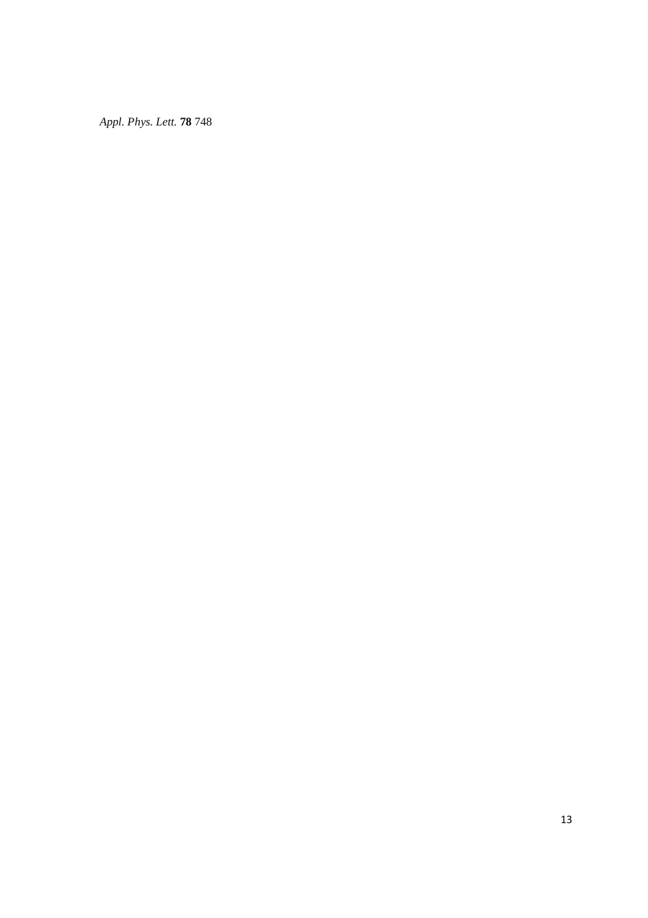*Appl. Phys. Lett.* **78** 748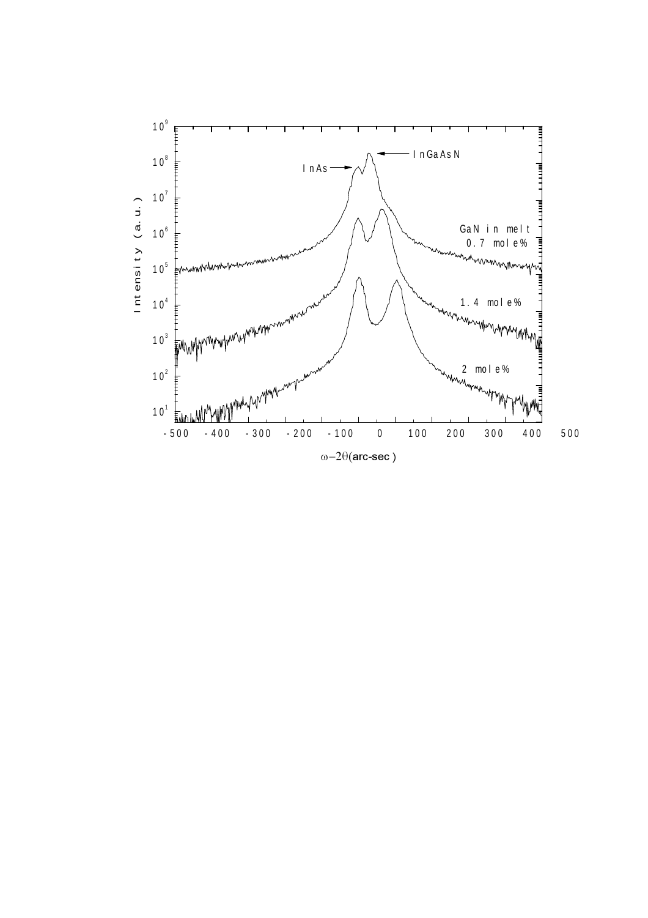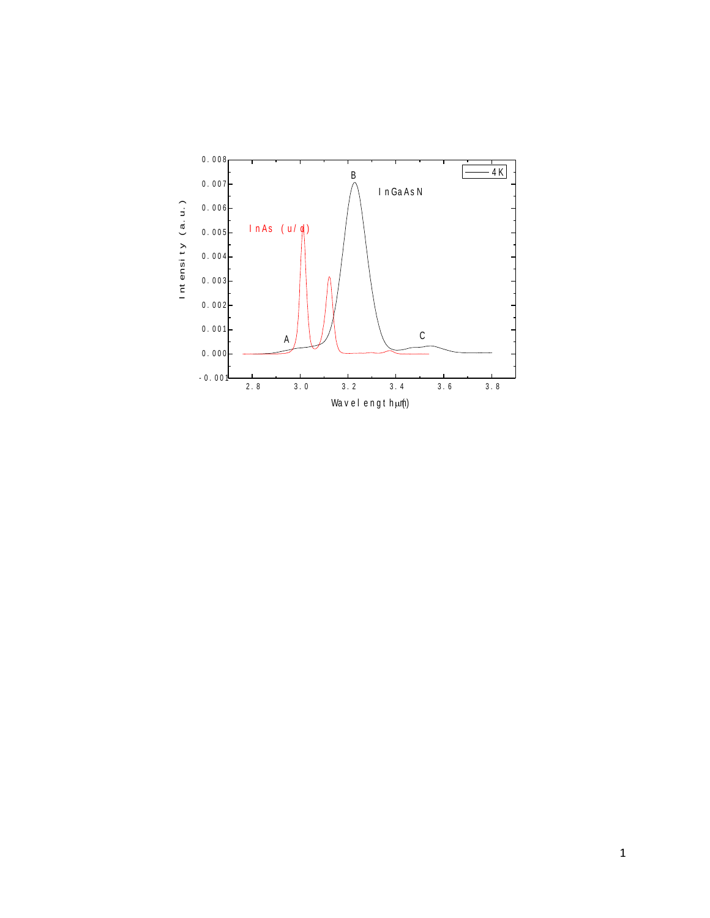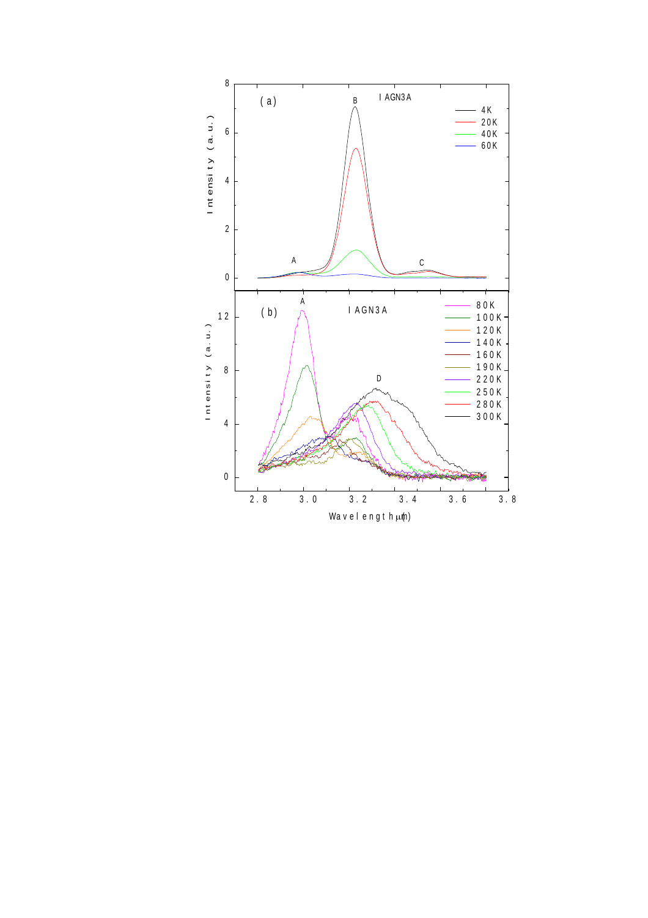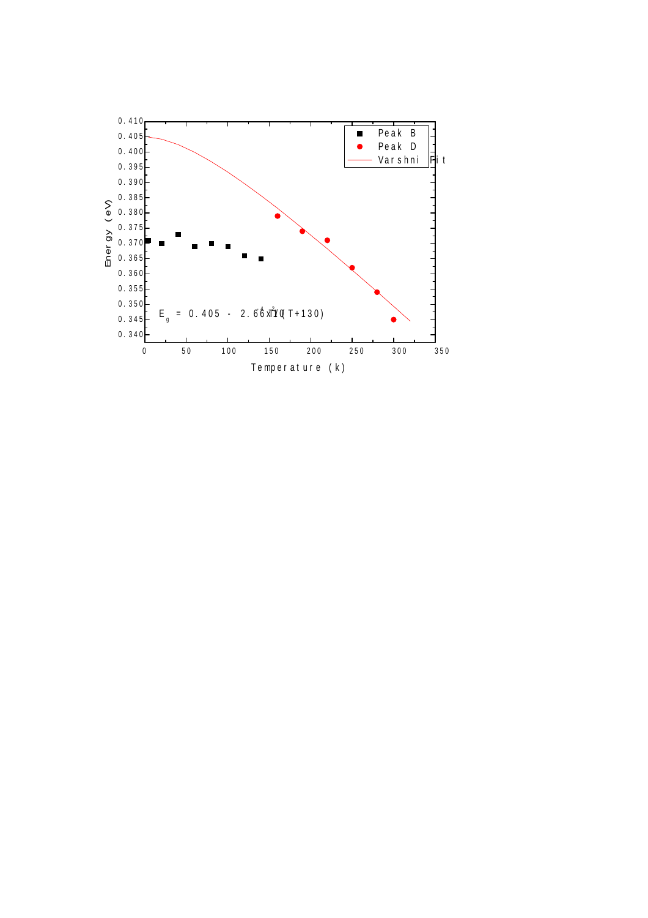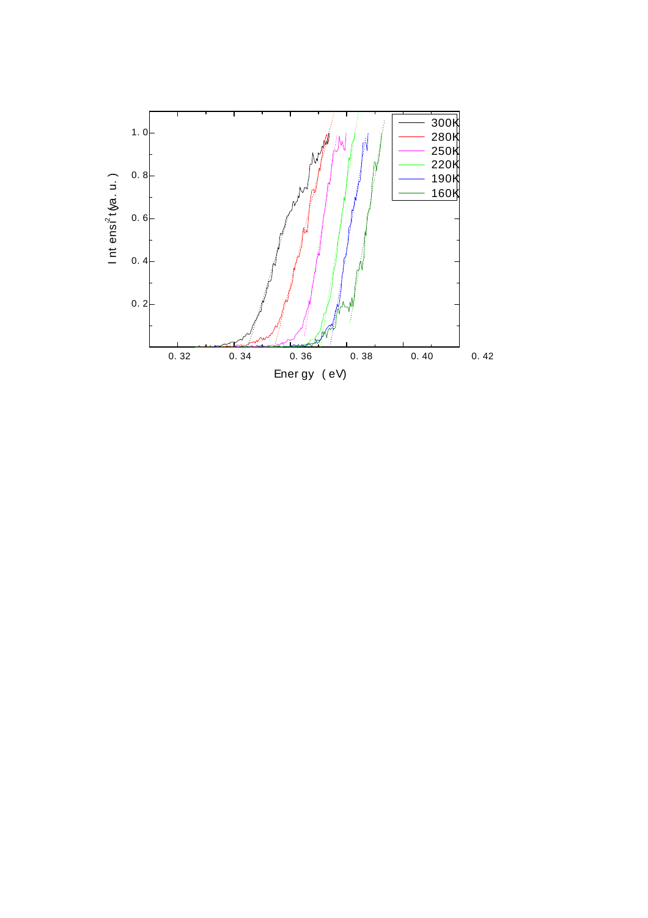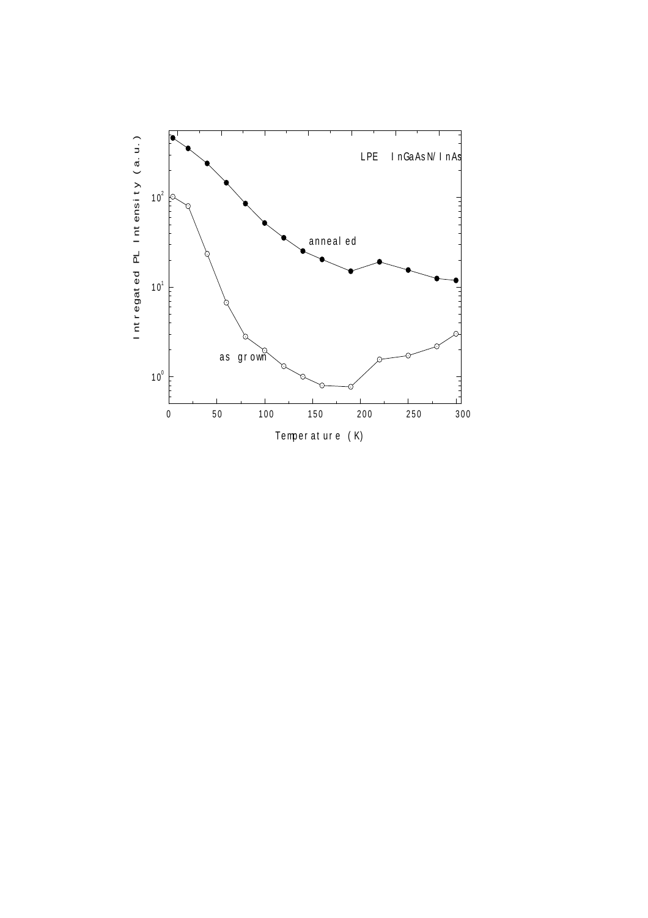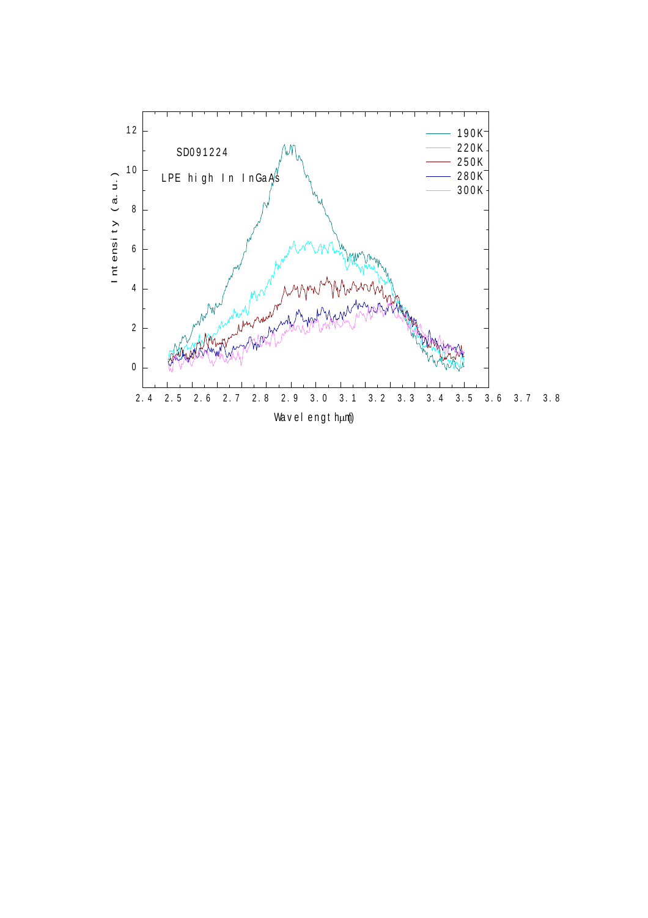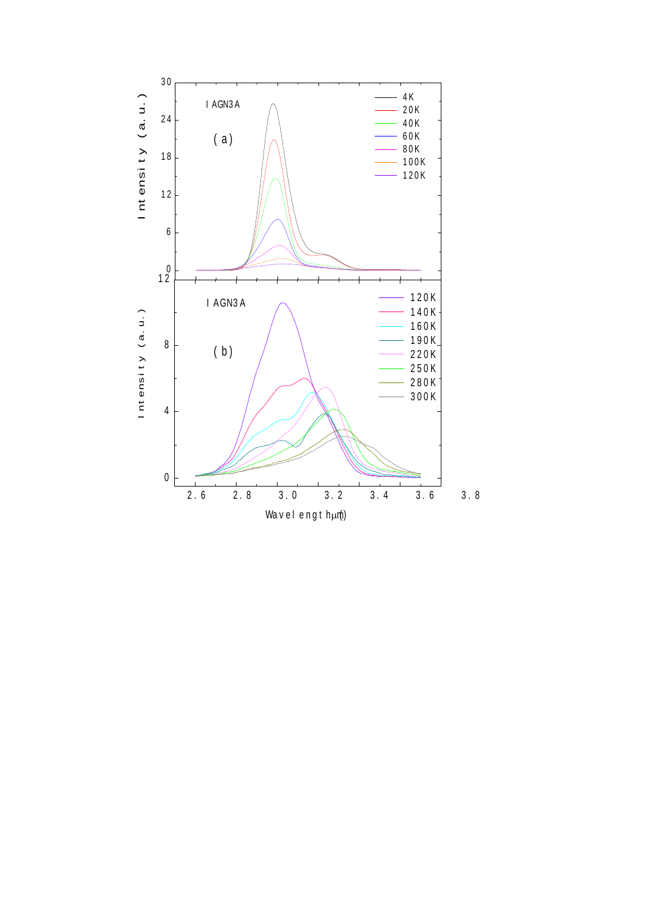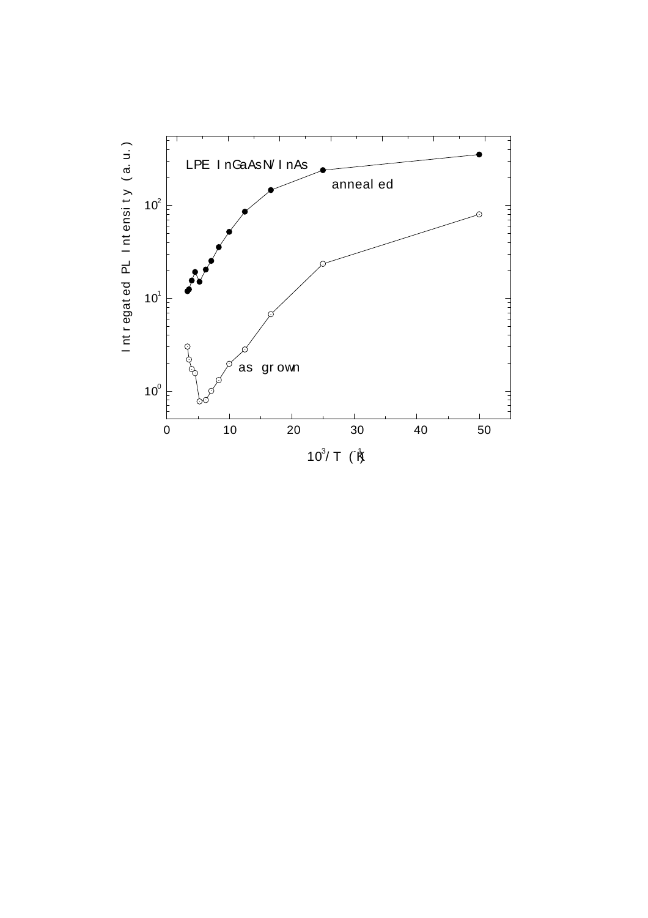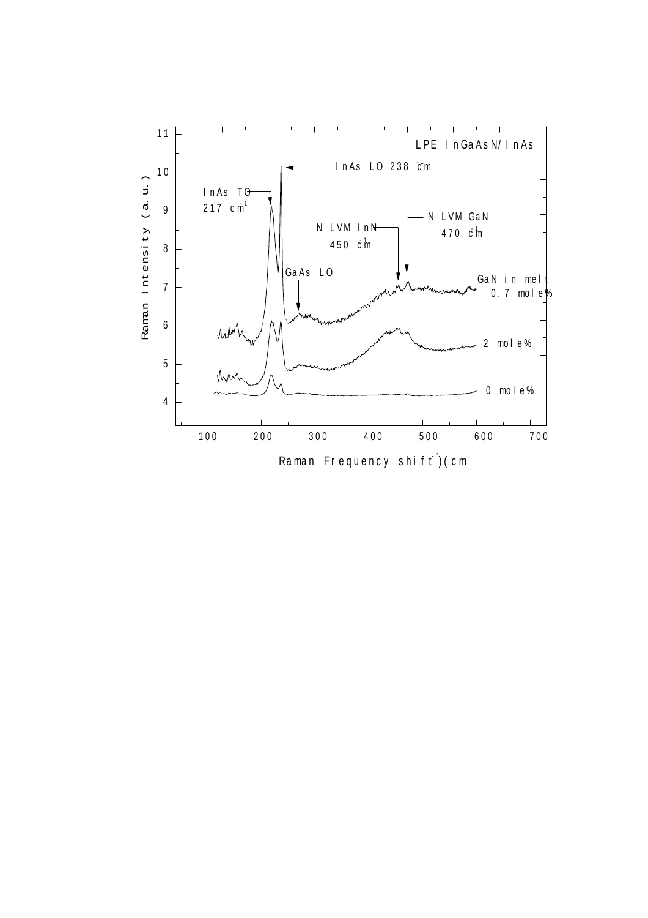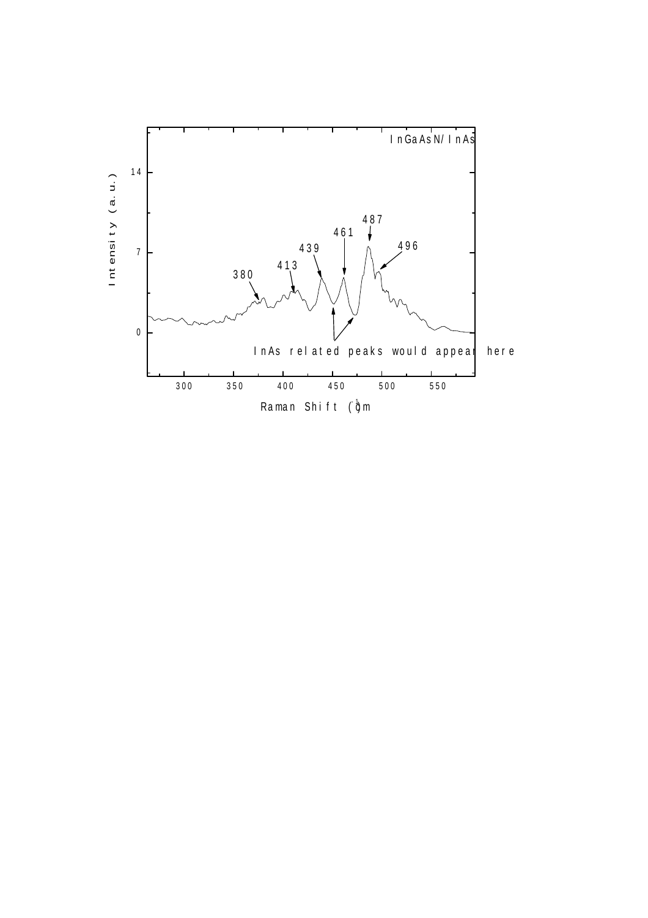